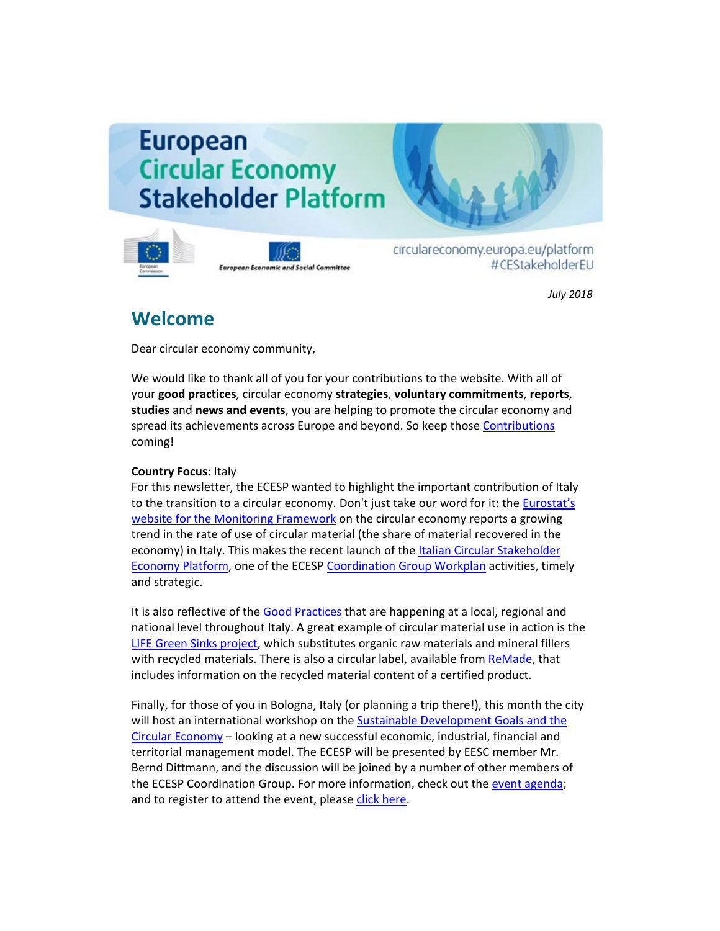# **European Circular Economy Stakeholder Platform**



**European Economic and Social Committee** 

circulareconomy.europa.eu/platform #CEStakeholderEU

*July 2018*

## **Welcome**

Dear circular economy community,

We would like to thank all of you for your contributions to the website. With all of your **good practices**, circular economy **strategies**, **voluntary commitments**, **reports**, **studies** and **news and events**, you are helping to promote the circular economy and spread its achievements across Europe and beyond. So keep thos[e Contributions](http://cdlink.eesc.europa.eu/l/c83a2021e8ae49f9829ff4844541c4c3/EE8873FF/95212D4E/072018n) coming!

### **Country Focus**: Italy

For this newsletter, the ECESP wanted to highlight the important contribution of Italy to the transition to a circular economy. Don't just take our word for it: th[e Eurostat's](http://cdlink.eesc.europa.eu/l/c83a2021e8ae49f9829ff4844541c4c3/EE8873FF/C5794A18/072018n)  [website for the Monitoring Framework](http://cdlink.eesc.europa.eu/l/c83a2021e8ae49f9829ff4844541c4c3/EE8873FF/C5794A18/072018n) on the circular economy reports a growing trend in the rate of use of circular material (the share of material recovered in the economy) in Italy. This makes the recent launch of the [Italian Circular Stakeholder](http://cdlink.eesc.europa.eu/l/c83a2021e8ae49f9829ff4844541c4c3/EE8873FF/F3DBB322/072018n)  [Economy Platform,](http://cdlink.eesc.europa.eu/l/c83a2021e8ae49f9829ff4844541c4c3/EE8873FF/F3DBB322/072018n) one of the ECESP [Coordination Group Workplan](http://cdlink.eesc.europa.eu/l/c83a2021e8ae49f9829ff4844541c4c3/EE8873FF/93E4F899/072018n) activities, timely and strategic.

It is also reflective of the [Good Practices](http://cdlink.eesc.europa.eu/l/c83a2021e8ae49f9829ff4844541c4c3/EE8873FF/3563D487/072018n) that are happening at a local, regional and national level throughout Italy. A great example of circular material use in action is the [LIFE Green Sinks project,](http://cdlink.eesc.europa.eu/l/c83a2021e8ae49f9829ff4844541c4c3/EE8873FF/B84DDC87/072018n) which substitutes organic raw materials and mineral fillers with recycled materials. There is also a circular label, available from [ReMade,](http://cdlink.eesc.europa.eu/l/c83a2021e8ae49f9829ff4844541c4c3/EE8873FF/DE38B149/072018n) that includes information on the recycled material content of a certified product.

Finally, for those of you in Bologna, Italy (or planning a trip there!), this month the city will host an international workshop on the Sustainable Development Goals and the [Circular Economy](http://cdlink.eesc.europa.eu/l/c83a2021e8ae49f9829ff4844541c4c3/EE8873FF/DAD9C6D9/072018n) – looking at a new successful economic, industrial, financial and territorial management model. The ECESP will be presented by EESC member Mr. Bernd Dittmann, and the discussion will be joined by a number of other members of the ECESP Coordination Group. For more information, check out the [event agenda;](http://cdlink.eesc.europa.eu/l/c83a2021e8ae49f9829ff4844541c4c3/EE8873FF/237D1AF3/072018n) and to register to attend the event, please [click here.](http://cdlink.eesc.europa.eu/l/c83a2021e8ae49f9829ff4844541c4c3/EE8873FF/A04A9217/072018n)